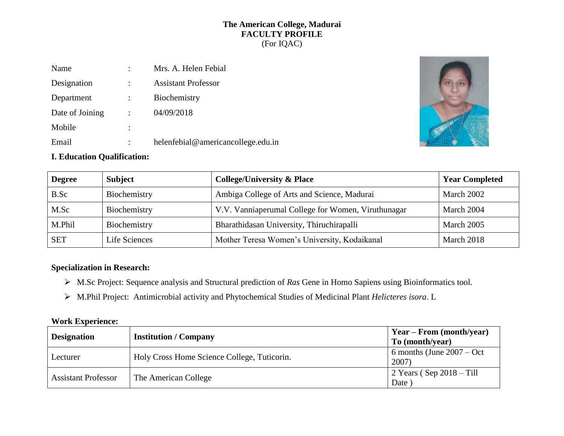### **The American College, Madurai FACULTY PROFILE** (For IQAC)

| Name            | ٠              | Mrs. A. Helen Febial               |
|-----------------|----------------|------------------------------------|
| Designation     |                | <b>Assistant Professor</b>         |
| Department      | $\ddot{\cdot}$ | Biochemistry                       |
| Date of Joining | $\ddot{\cdot}$ | 04/09/2018                         |
| Mobile          | ٠              |                                    |
| Email           | ٠              | helenfebial@americancollege.edu.in |



# **I. Education Qualification:**

| <b>Degree</b> | <b>Subject</b> | <b>College/University &amp; Place</b>              | <b>Year Completed</b> |
|---------------|----------------|----------------------------------------------------|-----------------------|
| B.Sc          | Biochemistry   | Ambiga College of Arts and Science, Madurai        | March 2002            |
| M.Sc          | Biochemistry   | V.V. Vanniaperumal College for Women, Viruthunagar | March 2004            |
| M.Phil        | Biochemistry   | Bharathidasan University, Thiruchirapalli          | March 2005            |
| <b>SET</b>    | Life Sciences  | Mother Teresa Women's University, Kodaikanal       | March 2018            |

# **Specialization in Research:**

- M.Sc Project: Sequence analysis and Structural prediction of *Ras* Gene in Homo Sapiens using Bioinformatics tool.
- M.Phil Project: Antimicrobial activity and Phytochemical Studies of Medicinal Plant *Helicteres isora*. L

### **Work Experience:**

| <b>Designation</b>         | <b>Institution / Company</b>                | Year – From (month/year)<br>To (month/year) |
|----------------------------|---------------------------------------------|---------------------------------------------|
| Lecturer                   | Holy Cross Home Science College, Tuticorin. | 6 months (June $2007 - Oct$<br>2007)        |
| <b>Assistant Professor</b> | The American College                        | $2$ Years (Sep 2018 – Till<br>Date          |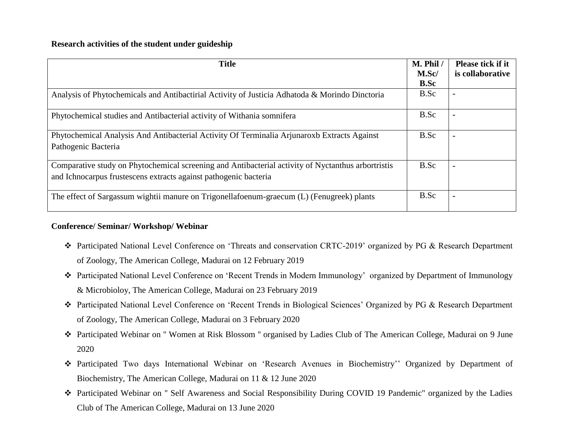| <b>Title</b>                                                                                                                                                           | M. Phil /<br>M.Sc/<br><b>B.Sc</b> | <b>Please tick if it</b><br>is collaborative |
|------------------------------------------------------------------------------------------------------------------------------------------------------------------------|-----------------------------------|----------------------------------------------|
| Analysis of Phytochemicals and Antibactirial Activity of Justicia Adhatoda & Morindo Dinctoria                                                                         | B.Sc                              |                                              |
| Phytochemical studies and Antibacterial activity of Withania somnifera                                                                                                 | B.Sc                              |                                              |
| Phytochemical Analysis And Antibacterial Activity Of Terminalia Arjunaroxb Extracts Against<br>Pathogenic Bacteria                                                     | B.Sc                              |                                              |
| Comparative study on Phytochemical screening and Antibacterial activity of Nyctanthus arbortristis<br>and Ichnocarpus frustescens extracts against pathogenic bacteria | B.Sc                              |                                              |
| The effect of Sargassum wightii manure on Trigonellafoenum-graecum (L) (Fenugreek) plants                                                                              | B.Sc                              |                                              |

### **Conference/ Seminar/ Workshop/ Webinar**

- Participated National Level Conference on 'Threats and conservation CRTC-2019' organized by PG & Research Department of Zoology, The American College, Madurai on 12 February 2019
- Participated National Level Conference on 'Recent Trends in Modern Immunology' organized by Department of Immunology & Microbioloy, The American College, Madurai on 23 February 2019
- Participated National Level Conference on 'Recent Trends in Biological Sciences' Organized by PG & Research Department of Zoology, The American College, Madurai on 3 February 2020
- Participated Webinar on '' Women at Risk Blossom '' organised by Ladies Club of The American College, Madurai on 9 June 2020
- Participated Two days International Webinar on 'Research Avenues in Biochemistry'' Organized by Department of Biochemistry, The American College, Madurai on 11 & 12 June 2020
- Participated Webinar on '' Self Awareness and Social Responsibility During COVID 19 Pandemic" organized by the Ladies Club of The American College, Madurai on 13 June 2020